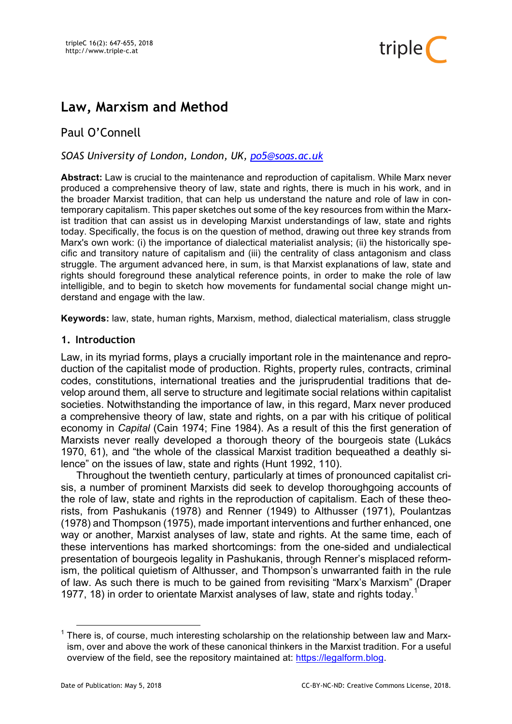

# **Law, Marxism and Method**

# Paul O'Connell

# *SOAS University of London, London, UK, po5@soas.ac.uk*

**Abstract:** Law is crucial to the maintenance and reproduction of capitalism. While Marx never produced a comprehensive theory of law, state and rights, there is much in his work, and in the broader Marxist tradition, that can help us understand the nature and role of law in contemporary capitalism. This paper sketches out some of the key resources from within the Marxist tradition that can assist us in developing Marxist understandings of law, state and rights today. Specifically, the focus is on the question of method, drawing out three key strands from Marx's own work: (i) the importance of dialectical materialist analysis; (ii) the historically specific and transitory nature of capitalism and (iii) the centrality of class antagonism and class struggle. The argument advanced here, in sum, is that Marxist explanations of law, state and rights should foreground these analytical reference points, in order to make the role of law intelligible, and to begin to sketch how movements for fundamental social change might understand and engage with the law.

**Keywords:** law, state, human rights, Marxism, method, dialectical materialism, class struggle

#### **1. Introduction**

Law, in its myriad forms, plays a crucially important role in the maintenance and reproduction of the capitalist mode of production. Rights, property rules, contracts, criminal codes, constitutions, international treaties and the jurisprudential traditions that develop around them, all serve to structure and legitimate social relations within capitalist societies. Notwithstanding the importance of law, in this regard, Marx never produced a comprehensive theory of law, state and rights, on a par with his critique of political economy in *Capital* (Cain 1974; Fine 1984). As a result of this the first generation of Marxists never really developed a thorough theory of the bourgeois state (Lukács 1970, 61), and "the whole of the classical Marxist tradition bequeathed a deathly silence" on the issues of law, state and rights (Hunt 1992, 110).

Throughout the twentieth century, particularly at times of pronounced capitalist crisis, a number of prominent Marxists did seek to develop thoroughgoing accounts of the role of law, state and rights in the reproduction of capitalism. Each of these theorists, from Pashukanis (1978) and Renner (1949) to Althusser (1971), Poulantzas (1978) and Thompson (1975), made important interventions and further enhanced, one way or another. Marxist analyses of law, state and rights. At the same time, each of these interventions has marked shortcomings: from the one-sided and undialectical presentation of bourgeois legality in Pashukanis, through Renner's misplaced reformism, the political quietism of Althusser, and Thompson's unwarranted faith in the rule of law. As such there is much to be gained from revisiting "Marx's Marxism" (Draper 1977, 18) in order to orientate Marxist analyses of law, state and rights today.<sup>1</sup>

<sup>&</sup>lt;sup>1</sup> There is, of course, much interesting scholarship on the relationship between law and Marxism, over and above the work of these canonical thinkers in the Marxist tradition. For a useful overview of the field, see the repository maintained at: https://legalform.blog.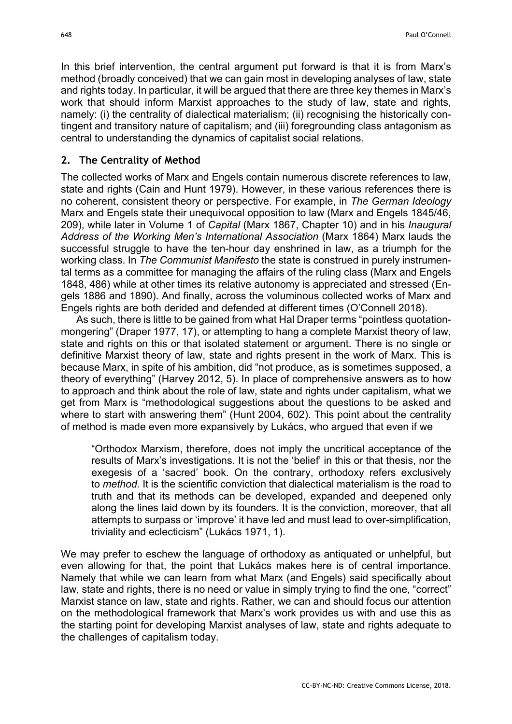In this brief intervention, the central argument put forward is that it is from Marx's method (broadly conceived) that we can gain most in developing analyses of law, state and rights today. In particular, it will be argued that there are three key themes in Marx's work that should inform Marxist approaches to the study of law, state and rights, namely: (i) the centrality of dialectical materialism; (ii) recognising the historically contingent and transitory nature of capitalism; and (iii) foregrounding class antagonism as central to understanding the dynamics of capitalist social relations.

#### **2. The Centrality of Method**

The collected works of Marx and Engels contain numerous discrete references to law, state and rights (Cain and Hunt 1979). However, in these various references there is no coherent, consistent theory or perspective. For example, in *The German Ideology* Marx and Engels state their unequivocal opposition to law (Marx and Engels 1845/46, 209), while later in Volume 1 of *Capital* (Marx 1867, Chapter 10) and in his *Inaugural Address of the Working Men's International Association* (Marx 1864) Marx lauds the successful struggle to have the ten-hour day enshrined in law, as a triumph for the working class. In *The Communist Manifesto* the state is construed in purely instrumental terms as a committee for managing the affairs of the ruling class (Marx and Engels 1848, 486) while at other times its relative autonomy is appreciated and stressed (Engels 1886 and 1890). And finally, across the voluminous collected works of Marx and Engels rights are both derided and defended at different times (O'Connell 2018).

As such, there is little to be gained from what Hal Draper terms "pointless quotationmongering" (Draper 1977, 17), or attempting to hang a complete Marxist theory of law, state and rights on this or that isolated statement or argument. There is no single or definitive Marxist theory of law, state and rights present in the work of Marx. This is because Marx, in spite of his ambition, did "not produce, as is sometimes supposed, a theory of everything" (Harvey 2012, 5). In place of comprehensive answers as to how to approach and think about the role of law, state and rights under capitalism, what we get from Marx is "methodological suggestions about the questions to be asked and where to start with answering them" (Hunt 2004, 602). This point about the centrality of method is made even more expansively by Lukács, who argued that even if we

"Orthodox Marxism, therefore, does not imply the uncritical acceptance of the results of Marx's investigations. It is not the 'belief' in this or that thesis, nor the exegesis of a 'sacred' book. On the contrary, orthodoxy refers exclusively to *method.* It is the scientific conviction that dialectical materialism is the road to truth and that its methods can be developed, expanded and deepened only along the lines laid down by its founders. It is the conviction, moreover, that all attempts to surpass or 'improve' it have led and must lead to over-simplification, triviality and eclecticism" (Lukács 1971, 1).

We may prefer to eschew the language of orthodoxy as antiquated or unhelpful, but even allowing for that, the point that Lukács makes here is of central importance. Namely that while we can learn from what Marx (and Engels) said specifically about law, state and rights, there is no need or value in simply trying to find the one, "correct" Marxist stance on law, state and rights. Rather, we can and should focus our attention on the methodological framework that Marx's work provides us with and use this as the starting point for developing Marxist analyses of law, state and rights adequate to the challenges of capitalism today.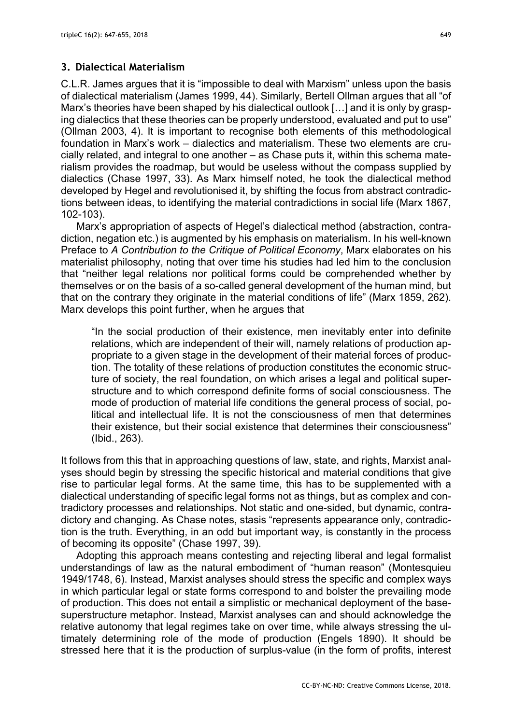## **3. Dialectical Materialism**

C.L.R. James argues that it is "impossible to deal with Marxism" unless upon the basis of dialectical materialism (James 1999, 44). Similarly, Bertell Ollman argues that all "of Marx's theories have been shaped by his dialectical outlook [...] and it is only by grasping dialectics that these theories can be properly understood, evaluated and put to use" (Ollman 2003, 4). It is important to recognise both elements of this methodological foundation in Marx's work – dialectics and materialism. These two elements are crucially related, and integral to one another – as Chase puts it, within this schema materialism provides the roadmap, but would be useless without the compass supplied by dialectics (Chase 1997, 33). As Marx himself noted, he took the dialectical method developed by Hegel and revolutionised it, by shifting the focus from abstract contradictions between ideas, to identifying the material contradictions in social life (Marx 1867, 102-103).

Marx's appropriation of aspects of Hegel's dialectical method (abstraction, contradiction, negation etc.) is augmented by his emphasis on materialism. In his well-known Preface to *A Contribution to the Critique of Political Economy*, Marx elaborates on his materialist philosophy, noting that over time his studies had led him to the conclusion that "neither legal relations nor political forms could be comprehended whether by themselves or on the basis of a so-called general development of the human mind, but that on the contrary they originate in the material conditions of life" (Marx 1859, 262). Marx develops this point further, when he argues that

"In the social production of their existence, men inevitably enter into definite relations, which are independent of their will, namely relations of production appropriate to a given stage in the development of their material forces of production. The totality of these relations of production constitutes the economic structure of society, the real foundation, on which arises a legal and political superstructure and to which correspond definite forms of social consciousness. The mode of production of material life conditions the general process of social, political and intellectual life. It is not the consciousness of men that determines their existence, but their social existence that determines their consciousness" (Ibid., 263).

It follows from this that in approaching questions of law, state, and rights, Marxist analyses should begin by stressing the specific historical and material conditions that give rise to particular legal forms. At the same time, this has to be supplemented with a dialectical understanding of specific legal forms not as things, but as complex and contradictory processes and relationships. Not static and one-sided, but dynamic, contradictory and changing. As Chase notes, stasis "represents appearance only, contradiction is the truth. Everything, in an odd but important way, is constantly in the process of becoming its opposite" (Chase 1997, 39).

Adopting this approach means contesting and rejecting liberal and legal formalist understandings of law as the natural embodiment of "human reason" (Montesquieu 1949/1748, 6). Instead, Marxist analyses should stress the specific and complex ways in which particular legal or state forms correspond to and bolster the prevailing mode of production. This does not entail a simplistic or mechanical deployment of the basesuperstructure metaphor. Instead, Marxist analyses can and should acknowledge the relative autonomy that legal regimes take on over time, while always stressing the ultimately determining role of the mode of production (Engels 1890). It should be stressed here that it is the production of surplus-value (in the form of profits, interest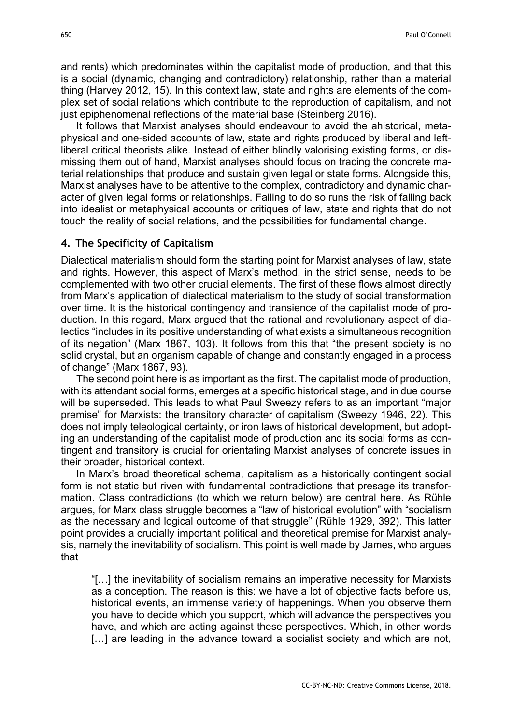and rents) which predominates within the capitalist mode of production, and that this is a social (dynamic, changing and contradictory) relationship, rather than a material thing (Harvey 2012, 15). In this context law, state and rights are elements of the complex set of social relations which contribute to the reproduction of capitalism, and not just epiphenomenal reflections of the material base (Steinberg 2016).

It follows that Marxist analyses should endeavour to avoid the ahistorical, metaphysical and one-sided accounts of law, state and rights produced by liberal and leftliberal critical theorists alike. Instead of either blindly valorising existing forms, or dismissing them out of hand, Marxist analyses should focus on tracing the concrete material relationships that produce and sustain given legal or state forms. Alongside this, Marxist analyses have to be attentive to the complex, contradictory and dynamic character of given legal forms or relationships. Failing to do so runs the risk of falling back into idealist or metaphysical accounts or critiques of law, state and rights that do not touch the reality of social relations, and the possibilities for fundamental change.

#### **4. The Specificity of Capitalism**

Dialectical materialism should form the starting point for Marxist analyses of law, state and rights. However, this aspect of Marx's method, in the strict sense, needs to be complemented with two other crucial elements. The first of these flows almost directly from Marx's application of dialectical materialism to the study of social transformation over time. It is the historical contingency and transience of the capitalist mode of production. In this regard, Marx argued that the rational and revolutionary aspect of dialectics "includes in its positive understanding of what exists a simultaneous recognition of its negation" (Marx 1867, 103). It follows from this that "the present society is no solid crystal, but an organism capable of change and constantly engaged in a process of change" (Marx 1867, 93).

The second point here is as important as the first. The capitalist mode of production, with its attendant social forms, emerges at a specific historical stage, and in due course will be superseded. This leads to what Paul Sweezy refers to as an important "major premise" for Marxists: the transitory character of capitalism (Sweezy 1946, 22). This does not imply teleological certainty, or iron laws of historical development, but adopting an understanding of the capitalist mode of production and its social forms as contingent and transitory is crucial for orientating Marxist analyses of concrete issues in their broader, historical context.

In Marx's broad theoretical schema, capitalism as a historically contingent social form is not static but riven with fundamental contradictions that presage its transformation. Class contradictions (to which we return below) are central here. As Rühle argues, for Marx class struggle becomes a "law of historical evolution" with "socialism as the necessary and logical outcome of that struggle" (Rühle 1929, 392). This latter point provides a crucially important political and theoretical premise for Marxist analysis, namely the inevitability of socialism. This point is well made by James, who argues that

"[…] the inevitability of socialism remains an imperative necessity for Marxists as a conception. The reason is this: we have a lot of objective facts before us, historical events, an immense variety of happenings. When you observe them you have to decide which you support, which will advance the perspectives you have, and which are acting against these perspectives. Which, in other words [...] are leading in the advance toward a socialist society and which are not,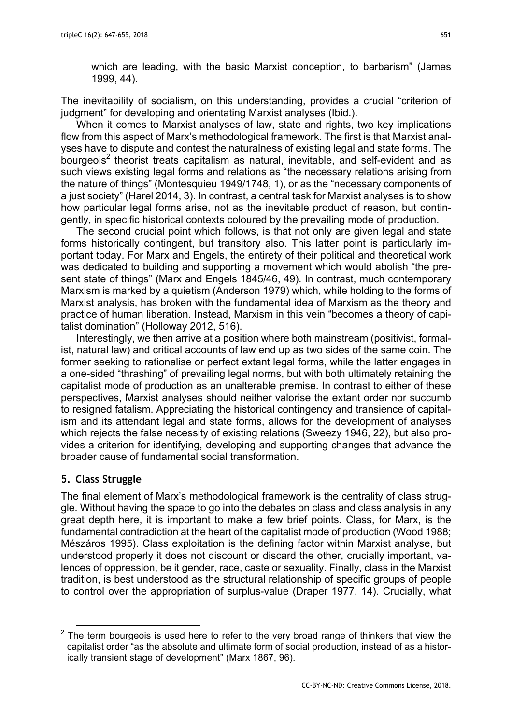which are leading, with the basic Marxist conception, to barbarism" (James 1999, 44).

The inevitability of socialism, on this understanding, provides a crucial "criterion of judgment" for developing and orientating Marxist analyses (Ibid.).

When it comes to Marxist analyses of law, state and rights, two key implications flow from this aspect of Marx's methodological framework. The first is that Marxist analyses have to dispute and contest the naturalness of existing legal and state forms. The bourgeois<sup>2</sup> theorist treats capitalism as natural, inevitable, and self-evident and as such views existing legal forms and relations as "the necessary relations arising from the nature of things" (Montesquieu 1949/1748, 1), or as the "necessary components of a just society" (Harel 2014, 3). In contrast, a central task for Marxist analyses is to show how particular legal forms arise, not as the inevitable product of reason, but contingently, in specific historical contexts coloured by the prevailing mode of production.

The second crucial point which follows, is that not only are given legal and state forms historically contingent, but transitory also. This latter point is particularly important today. For Marx and Engels, the entirety of their political and theoretical work was dedicated to building and supporting a movement which would abolish "the present state of things" (Marx and Engels 1845/46, 49). In contrast, much contemporary Marxism is marked by a quietism (Anderson 1979) which, while holding to the forms of Marxist analysis, has broken with the fundamental idea of Marxism as the theory and practice of human liberation. Instead, Marxism in this vein "becomes a theory of capitalist domination" (Holloway 2012, 516).

Interestingly, we then arrive at a position where both mainstream (positivist, formalist, natural law) and critical accounts of law end up as two sides of the same coin. The former seeking to rationalise or perfect extant legal forms, while the latter engages in a one-sided "thrashing" of prevailing legal norms, but with both ultimately retaining the capitalist mode of production as an unalterable premise. In contrast to either of these perspectives, Marxist analyses should neither valorise the extant order nor succumb to resigned fatalism. Appreciating the historical contingency and transience of capitalism and its attendant legal and state forms, allows for the development of analyses which rejects the false necessity of existing relations (Sweezy 1946, 22), but also provides a criterion for identifying, developing and supporting changes that advance the broader cause of fundamental social transformation.

## **5. Class Struggle**

The final element of Marx's methodological framework is the centrality of class struggle. Without having the space to go into the debates on class and class analysis in any great depth here, it is important to make a few brief points. Class, for Marx, is the fundamental contradiction at the heart of the capitalist mode of production (Wood 1988; Mészáros 1995). Class exploitation is the defining factor within Marxist analyse, but understood properly it does not discount or discard the other, crucially important, valences of oppression, be it gender, race, caste or sexuality. Finally, class in the Marxist tradition, is best understood as the structural relationship of specific groups of people to control over the appropriation of surplus-value (Draper 1977, 14). Crucially, what

 $2$  The term bourgeois is used here to refer to the very broad range of thinkers that view the capitalist order "as the absolute and ultimate form of social production, instead of as a historically transient stage of development" (Marx 1867, 96).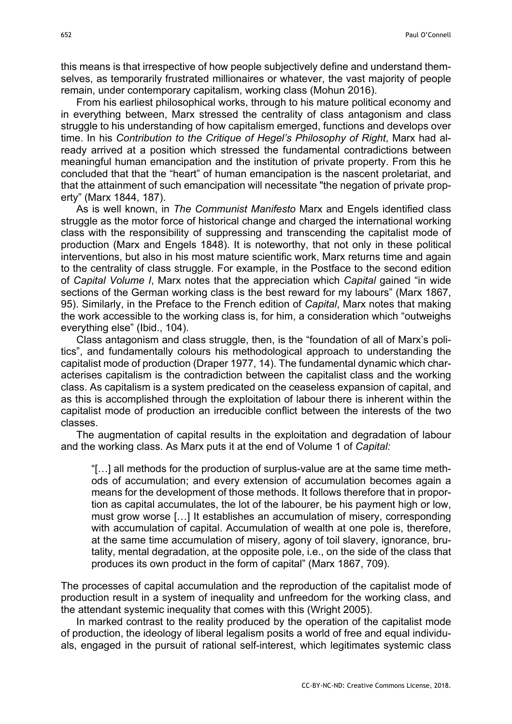this means is that irrespective of how people subjectively define and understand themselves, as temporarily frustrated millionaires or whatever, the vast majority of people remain, under contemporary capitalism, working class (Mohun 2016).

From his earliest philosophical works, through to his mature political economy and in everything between, Marx stressed the centrality of class antagonism and class struggle to his understanding of how capitalism emerged, functions and develops over time. In his *Contribution to the Critique of Hegel's Philosophy of Right*, Marx had already arrived at a position which stressed the fundamental contradictions between meaningful human emancipation and the institution of private property. From this he concluded that that the "heart" of human emancipation is the nascent proletariat, and that the attainment of such emancipation will necessitate "the negation of private property" (Marx 1844, 187).

As is well known, in *The Communist Manifesto* Marx and Engels identified class struggle as the motor force of historical change and charged the international working class with the responsibility of suppressing and transcending the capitalist mode of production (Marx and Engels 1848). It is noteworthy, that not only in these political interventions, but also in his most mature scientific work, Marx returns time and again to the centrality of class struggle. For example, in the Postface to the second edition of *Capital Volume I*, Marx notes that the appreciation which *Capital* gained "in wide sections of the German working class is the best reward for my labours" (Marx 1867, 95). Similarly, in the Preface to the French edition of *Capital*, Marx notes that making the work accessible to the working class is, for him, a consideration which "outweighs everything else" (Ibid., 104).

Class antagonism and class struggle, then, is the "foundation of all of Marx's politics", and fundamentally colours his methodological approach to understanding the capitalist mode of production (Draper 1977, 14). The fundamental dynamic which characterises capitalism is the contradiction between the capitalist class and the working class. As capitalism is a system predicated on the ceaseless expansion of capital, and as this is accomplished through the exploitation of labour there is inherent within the capitalist mode of production an irreducible conflict between the interests of the two classes.

The augmentation of capital results in the exploitation and degradation of labour and the working class. As Marx puts it at the end of Volume 1 of *Capital:*

"[…] all methods for the production of surplus-value are at the same time methods of accumulation; and every extension of accumulation becomes again a means for the development of those methods. It follows therefore that in proportion as capital accumulates, the lot of the labourer, be his payment high or low, must grow worse […] It establishes an accumulation of misery, corresponding with accumulation of capital. Accumulation of wealth at one pole is, therefore, at the same time accumulation of misery, agony of toil slavery, ignorance, brutality, mental degradation, at the opposite pole, i.e., on the side of the class that produces its own product in the form of capital" (Marx 1867, 709).

The processes of capital accumulation and the reproduction of the capitalist mode of production result in a system of inequality and unfreedom for the working class, and the attendant systemic inequality that comes with this (Wright 2005).

In marked contrast to the reality produced by the operation of the capitalist mode of production, the ideology of liberal legalism posits a world of free and equal individuals, engaged in the pursuit of rational self-interest, which legitimates systemic class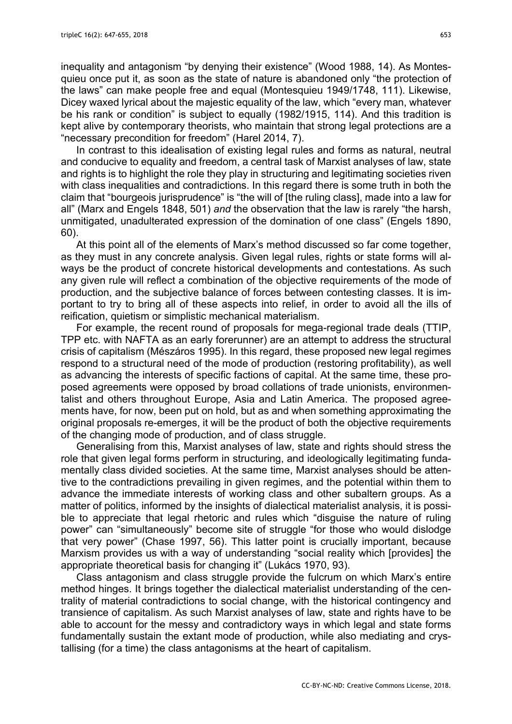inequality and antagonism "by denying their existence" (Wood 1988, 14). As Montesquieu once put it, as soon as the state of nature is abandoned only "the protection of the laws" can make people free and equal (Montesquieu 1949/1748, 111). Likewise, Dicey waxed lyrical about the majestic equality of the law, which "every man, whatever be his rank or condition" is subject to equally (1982/1915, 114). And this tradition is kept alive by contemporary theorists, who maintain that strong legal protections are a "necessary precondition for freedom" (Harel 2014, 7).

In contrast to this idealisation of existing legal rules and forms as natural, neutral and conducive to equality and freedom, a central task of Marxist analyses of law, state and rights is to highlight the role they play in structuring and legitimating societies riven with class inequalities and contradictions. In this regard there is some truth in both the claim that "bourgeois jurisprudence" is "the will of [the ruling class], made into a law for all" (Marx and Engels 1848, 501) *and* the observation that the law is rarely "the harsh, unmitigated, unadulterated expression of the domination of one class" (Engels 1890, 60).

At this point all of the elements of Marx's method discussed so far come together, as they must in any concrete analysis. Given legal rules, rights or state forms will always be the product of concrete historical developments and contestations. As such any given rule will reflect a combination of the objective requirements of the mode of production, and the subjective balance of forces between contesting classes. It is important to try to bring all of these aspects into relief, in order to avoid all the ills of reification, quietism or simplistic mechanical materialism.

For example, the recent round of proposals for mega-regional trade deals (TTIP, TPP etc. with NAFTA as an early forerunner) are an attempt to address the structural crisis of capitalism (Mészáros 1995). In this regard, these proposed new legal regimes respond to a structural need of the mode of production (restoring profitability), as well as advancing the interests of specific factions of capital. At the same time, these proposed agreements were opposed by broad collations of trade unionists, environmentalist and others throughout Europe, Asia and Latin America. The proposed agreements have, for now, been put on hold, but as and when something approximating the original proposals re-emerges, it will be the product of both the objective requirements of the changing mode of production, and of class struggle.

Generalising from this, Marxist analyses of law, state and rights should stress the role that given legal forms perform in structuring, and ideologically legitimating fundamentally class divided societies. At the same time, Marxist analyses should be attentive to the contradictions prevailing in given regimes, and the potential within them to advance the immediate interests of working class and other subaltern groups. As a matter of politics, informed by the insights of dialectical materialist analysis, it is possible to appreciate that legal rhetoric and rules which "disguise the nature of ruling power" can "simultaneously" become site of struggle "for those who would dislodge that very power" (Chase 1997, 56). This latter point is crucially important, because Marxism provides us with a way of understanding "social reality which [provides] the appropriate theoretical basis for changing it" (Lukács 1970, 93).

Class antagonism and class struggle provide the fulcrum on which Marx's entire method hinges. It brings together the dialectical materialist understanding of the centrality of material contradictions to social change, with the historical contingency and transience of capitalism. As such Marxist analyses of law, state and rights have to be able to account for the messy and contradictory ways in which legal and state forms fundamentally sustain the extant mode of production, while also mediating and crystallising (for a time) the class antagonisms at the heart of capitalism.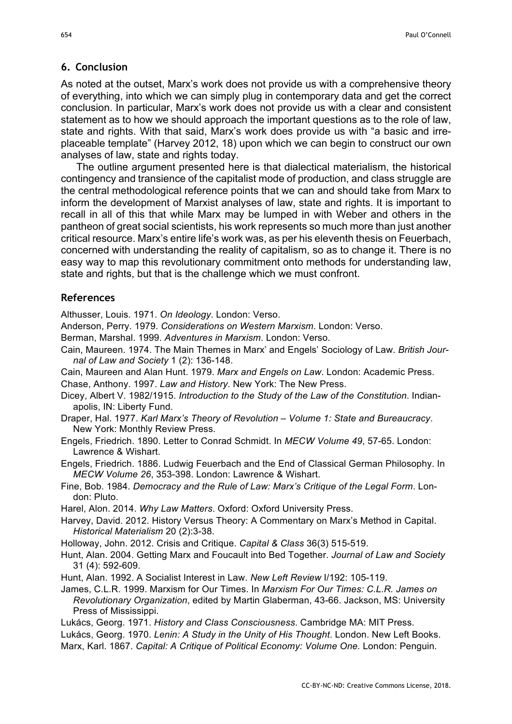#### **6. Conclusion**

As noted at the outset, Marx's work does not provide us with a comprehensive theory of everything, into which we can simply plug in contemporary data and get the correct conclusion. In particular, Marx's work does not provide us with a clear and consistent statement as to how we should approach the important questions as to the role of law, state and rights. With that said, Marx's work does provide us with "a basic and irreplaceable template" (Harvey 2012, 18) upon which we can begin to construct our own analyses of law, state and rights today.

The outline argument presented here is that dialectical materialism, the historical contingency and transience of the capitalist mode of production, and class struggle are the central methodological reference points that we can and should take from Marx to inform the development of Marxist analyses of law, state and rights. It is important to recall in all of this that while Marx may be lumped in with Weber and others in the pantheon of great social scientists, his work represents so much more than just another critical resource. Marx's entire life's work was, as per his eleventh thesis on Feuerbach, concerned with understanding the reality of capitalism, so as to change it. There is no easy way to map this revolutionary commitment onto methods for understanding law, state and rights, but that is the challenge which we must confront.

#### **References**

Althusser, Louis. 1971. *On Ideology*. London: Verso.

- Anderson, Perry. 1979. *Considerations on Western Marxism*. London: Verso.
- Berman, Marshal. 1999. *Adventures in Marxism*. London: Verso.
- Cain, Maureen. 1974. The Main Themes in Marx' and Engels' Sociology of Law. *British Journal of Law and Society* 1 (2): 136-148.
- Cain, Maureen and Alan Hunt. 1979. *Marx and Engels on Law*. London: Academic Press. Chase, Anthony. 1997. *Law and History*. New York: The New Press.
- Dicey, Albert V. 1982/1915. *Introduction to the Study of the Law of the Constitution*. Indianapolis, IN: Liberty Fund.
- Draper, Hal. 1977. *Karl Marx's Theory of Revolution – Volume 1: State and Bureaucracy*. New York: Monthly Review Press.
- Engels, Friedrich. 1890. Letter to Conrad Schmidt. In *MECW Volume 49*, 57-65. London: Lawrence & Wishart.

Engels, Friedrich. 1886. Ludwig Feuerbach and the End of Classical German Philosophy. In *MECW Volume 26*, 353-398. London: Lawrence & Wishart.

Fine, Bob. 1984. *Democracy and the Rule of Law: Marx's Critique of the Legal Form*. London: Pluto.

Harel, Alon. 2014. *Why Law Matters*. Oxford: Oxford University Press.

- Harvey, David. 2012. History Versus Theory: A Commentary on Marx's Method in Capital. *Historical Materialism* 20 (2):3-38.
- Holloway, John. 2012. Crisis and Critique. *Capital & Class* 36(3) 515-519.

Hunt, Alan. 2004. Getting Marx and Foucault into Bed Together. *Journal of Law and Society* 31 (4): 592-609.

- Hunt, Alan. 1992. A Socialist Interest in Law. *New Left Review* I/192: 105-119.
- James, C.L.R. 1999. Marxism for Our Times. In *Marxism For Our Times: C.L.R. James on Revolutionary Organization*, edited by Martin Glaberman, 43-66. Jackson, MS: University Press of Mississippi.

Lukács, Georg. 1971. *History and Class Consciousness*. Cambridge MA: MIT Press.

Lukács, Georg. 1970. *Lenin: A Study in the Unity of His Thought*. London. New Left Books. Marx, Karl. 1867. *Capital: A Critique of Political Economy: Volume One.* London: Penguin.